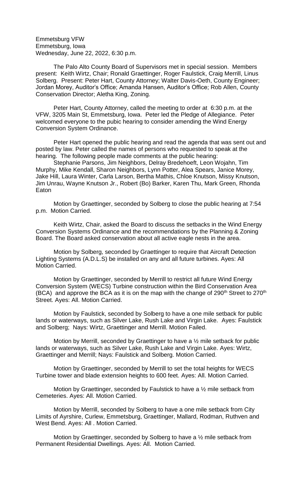Emmetsburg VFW Emmetsburg, Iowa Wednesday, June 22, 2022, 6:30 p.m.

The Palo Alto County Board of Supervisors met in special session. Members present: Keith Wirtz, Chair; Ronald Graettinger, Roger Faulstick, Craig Merrill, Linus Solberg. Present: Peter Hart, County Attorney; Walter Davis-Oeth, County Engineer; Jordan Morey, Auditor's Office; Amanda Hansen, Auditor's Office; Rob Allen, County Conservation Director; Aletha King, Zoning.

Peter Hart, County Attorney, called the meeting to order at 6:30 p.m. at the VFW, 3205 Main St, Emmetsburg, Iowa. Peter led the Pledge of Allegiance. Peter welcomed everyone to the pubic hearing to consider amending the Wind Energy Conversion System Ordinance.

Peter Hart opened the public hearing and read the agenda that was sent out and posted by law. Peter called the names of persons who requested to speak at the hearing. The following people made comments at the public hearing:

Stephanie Parsons, Jim Neighbors, Delray Bredehoeft, Leon Wojahn, Tim Murphy, Mike Kendall, Sharon Neighbors, Lynn Potter, Alea Spears, Janice Morey, Jake Hill, Laura Winter, Carla Larson, Bertha Mathis, Chloe Knutson, Missy Knutson, Jim Unrau, Wayne Knutson Jr., Robert (Bo) Barker, Karen Thu, Mark Green, Rhonda Eaton

Motion by Graettinger, seconded by Solberg to close the public hearing at 7:54 p.m. Motion Carried.

Keith Wirtz, Chair, asked the Board to discuss the setbacks in the Wind Energy Conversion Systems Ordinance and the recommendations by the Planning & Zoning Board. The Board asked conservation about all active eagle nests in the area.

Motion by Solberg, seconded by Graettinger to require that Aircraft Detection Lighting Systems (A.D.L.S) be installed on any and all future turbines. Ayes: All Motion Carried.

Motion by Graettinger, seconded by Merrill to restrict all future Wind Energy Conversion System (WECS) Turbine construction within the Bird Conservation Area (BCA) and approve the BCA as it is on the map with the change of  $290<sup>th</sup>$  Street to  $270<sup>th</sup>$ Street. Ayes: All. Motion Carried.

Motion by Faulstick, seconded by Solberg to have a one mile setback for public lands or waterways, such as Silver Lake, Rush Lake and Virgin Lake. Ayes: Faulstick and Solberg; Nays: Wirtz, Graettinger and Merrill. Motion Failed.

Motion by Merrill, seconded by Graettinger to have a ½ mile setback for public lands or waterways, such as Silver Lake, Rush Lake and Virgin Lake. Ayes: Wirtz, Graettinger and Merrill; Nays: Faulstick and Solberg. Motion Carried.

Motion by Graettinger, seconded by Merrill to set the total heights for WECS Turbine tower and blade extension heights to 600 feet. Ayes: All. Motion Carried.

Motion by Graettinger, seconded by Faulstick to have a ½ mile setback from Cemeteries. Ayes: All. Motion Carried.

Motion by Merrill, seconded by Solberg to have a one mile setback from City Limits of Ayrshire, Curlew, Emmetsburg, Graettinger, Mallard, Rodman, Ruthven and West Bend. Ayes: All . Motion Carried.

Motion by Graettinger, seconded by Solberg to have a ½ mile setback from Permanent Residential Dwellings. Ayes: All. Motion Carried.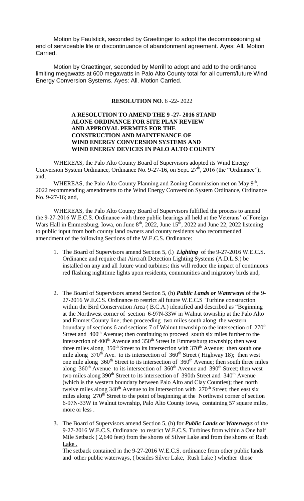Motion by Faulstick, seconded by Graettinger to adopt the decommissioning at end of serviceable life or discontinuance of abandonment agreement. Ayes: All. Motion Carried.

Motion by Graettinger, seconded by Merrill to adopt and add to the ordinance limiting megawatts at 600 megawatts in Palo Alto County total for all current/future Wind Energy Conversion Systems. Ayes: All. Motion Carried.

#### **RESOLUTION NO**. 6 -22- 2022

#### **A RESOLUTION TO AMEND THE 9 -27- 2016 STAND ALONE ORDINANCE FOR SITE PLAN REVIEW AND APPROVAL PERMITS FOR THE CONSTRUCTION AND MAINTENANCE OF WIND ENERGY CONVERSION SYSTEMS AND WIND ENERGY DEVICES IN PALO ALTO COUNTY**

WHEREAS, the Palo Alto County Board of Supervisors adopted its Wind Energy Conversion System Ordinance, Ordinance No. 9-27-16, on Sept.  $27<sup>th</sup>$ , 2016 (the "Ordinance"); and,

WHEREAS, the Palo Alto County Planning and Zoning Commission met on May  $9<sup>th</sup>$ , 2022 recommending amendments to the Wind Energy Conversion System Ordinance, Ordinance No. 9-27-16; and,

WHEREAS, the Palo Alto County Board of Supervisors fulfilled the process to amend the 9-27-2016 W.E.C.S. Ordinance with three public hearings all held at the Veterans' of Foreign Wars Hall in Emmetsburg, Iowa, on June  $8<sup>th</sup>$ , 2022, June  $15<sup>th</sup>$ , 2022 and June 22, 2022 listening to public input from both county land owners and county residents who recommended amendment of the following Sections of the W.E.C.S. Ordinance:

- 1. The Board of Supervisors amend Section 5, (l) *Lighting* of the 9-27-2016 W.E.C.S. Ordinance and require that Aircraft Detection Lighting Systems (A.D.L.S.) be installed on any and all future wind turbines; this will reduce the impact of continuous red flashing nighttime lights upon residents, communities and migratory birds and,
- 2. The Board of Supervisors amend Section 5, (h) *Public Lands or Waterways* of the 9- 27-2016 W.E.C.S. Ordinance to restrict all future W.E.C.S Turbine construction within the Bird Conservation Area ( B.C.A.) identified and described as "Beginning at the Northwest corner of section 6-97N-33W in Walnut township at the Palo Alto and Emmet County line; then proceeding two miles south along the western boundary of sections 6 and sections 7 of Walnut township to the intersection of 270<sup>th</sup> Street and 400<sup>th</sup> Avenue; then continuing to proceed south six miles further to the intersection of  $400<sup>th</sup>$  Avenue and  $350<sup>th</sup>$  Street in Emmetsburg township; then west three miles along  $350<sup>th</sup>$  Street to its intersection with  $370<sup>th</sup>$  Avenue; then south one mile along  $370<sup>th</sup>$  Ave. to its intersection of  $360<sup>th</sup>$  Street (Highway 18); then west one mile along  $360<sup>th</sup>$  Street to its intersection of  $360<sup>th</sup>$  Avenue; then south three miles along  $360<sup>th</sup>$  Avenue to its intersection of  $360<sup>th</sup>$  Avenue and  $390<sup>th</sup>$  Street; then west two miles along  $390<sup>th</sup>$  Street to its intersection of 390th Street and 340<sup>th</sup> Avenue (which is the western boundary between Palo Alto and Clay Counties); then north twelve miles along  $340<sup>th</sup>$  Avenue to its intersection with  $270<sup>th</sup>$  Street; then east six miles along  $270<sup>th</sup>$  Street to the point of beginning at the Northwest corner of section 6-97N-33W in Walnut township, Palo Alto County Iowa, containing 57 square miles, more or less .
- 3. The Board of Supervisors amend Section 5, (h) for *Public Lands or Waterways* of the 9-27-2016 W.E.C.S. Ordinance to restrict W.E.C.S. Turbines from within a One half Mile Setback ( 2,640 feet) from the shores of Silver Lake and from the shores of Rush Lake .

The setback contained in the 9-27-2016 W.E.C.S. ordinance from other public lands and other public waterways, ( besides Silver Lake, Rush Lake ) whether those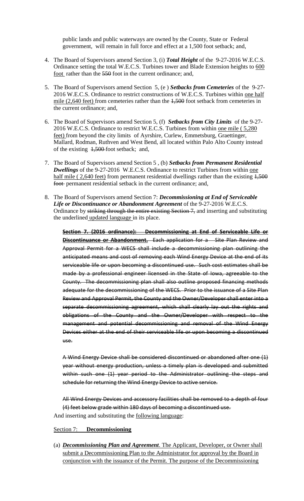public lands and public waterways are owned by the County, State or Federal government, will remain in full force and effect at a 1,500 foot setback; and,

- 4. The Board of Supervisors amend Section 3, (i) *Total Height* of the 9-27-2016 W.E.C.S. Ordinance setting the total W.E.C.S. Turbines tower and Blade Extension heights to 600 foot rather than the 550 foot in the current ordinance; and,
- 5. The Board of Supervisors amend Section 5, (e ) *Setbacks from Cemeteries* of the 9-27- 2016 W.E.C.S. Ordinance to restrict constructions of W.E.C.S. Turbines within one half mile (2,640 feet) from cemeteries rather than the  $1,500$  foot setback from cemeteries in the current ordinance; and,
- 6. The Board of Supervisors amend Section 5, (f) *Setbacks from City Limits* of the 9-27- 2016 W.E.C.S. Ordinance to restrict W.E.C.S. Turbines from within one mile ( 5,280 feet) from beyond the city limits of Ayrshire, Curlew, Emmetsburg, Graettinger, Mallard, Rodman, Ruthven and West Bend, all located within Palo Alto County instead of the existing 1,500 foot setback; and,
- 7. The Board of Supervisors amend Section 5 , (b) *Setbacks from Permanent Residential*  **Dwellings** of the 9-27-2016 W.E.C.S. Ordinance to restrict Turbines from within one half mile ( 2,640 feet) from permanent residential dwellings rather than the existing  $1,500$ foot-permanent residential setback in the current ordinance; and,
- 8. The Board of Supervisors amend Section 7: *Decommissioning at End of Serviceable Life or Discontinuance or Abandonment Agreement* of the 9-27-2016 W.E.C.S. Ordinance by striking through the entire existing Section 7, and inserting and substituting the underlined updated language in its place.

**Section 7. (2016 ordinance): Decommissioning at End of Serviceable Life or Discontinuance or Abandonment.** Each application for a Site Plan Review and Approval Permit for a WECS shall include a decommissioning plan outlining the anticipated means and cost of removing each Wind Energy Device at the end of its serviceable life or upon becoming a discontinued use. Such cost estimates shall be made by a professional engineer licensed in the State of Iowa, agreeable to the County. The decommissioning plan shall also outline proposed financing methods adequate for the decommissioning of the WECS. Prior to the issuance of a Site Plan Review and Approval Permit, the County and the Owner/Developer shall enter into a separate decommissioning agreement, which shall clearly lay out the rights and obligations of the County and the Owner/Developer with respect to the management and potential decommissioning and removal of the Wind Energy Devices either at the end of their serviceable life or upon becoming a discontinued use.

A Wind Energy Device shall be considered discontinued or abandoned after one (1) year without energy production, unless a timely plan is developed and submitted within such one (1) year period to the Administrator outlining the steps and schedule for returning the Wind Energy Device to active service.

All Wind Energy Devices and accessory facilities shall be removed to a depth of four (4) feet below grade within 180 days of becoming a discontinued use. And inserting and substituting the following language:

- Section 7: **Decommissioning**
- (a) *Decommissioning Plan and Agreement*. The Applicant, Developer, or Owner shall submit a Decommissioning Plan to the Administrator for approval by the Board in conjunction with the issuance of the Permit. The purpose of the Decommissioning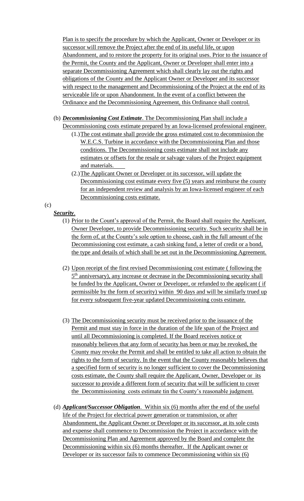Plan is to specify the procedure by which the Applicant, Owner or Developer or its successor will remove the Project after the end of its useful life, or upon Abandonment, and to restore the property for its original uses. Prior to the issuance of the Permit, the County and the Applicant, Owner or Developer shall enter into a separate Decommissioning Agreement which shall clearly lay out the rights and obligations of the County and the Applicant Owner or Developer and its successor with respect to the management and Decommissioning of the Project at the end of its serviceable life or upon Abandonment. In the event of a conflict between the Ordinance and the Decommissioning Agreement, this Ordinance shall control.

- (b) *Decommissioning Cost Estimate*. The Decommissioning Plan shall include a Decommissioning costs estimate prepared by an Iowa-licensed professional engineer.
	- (1.)The cost estimate shall provide the gross estimated cost to decommission the W.E.C.S. Turbine in accordance with the Decommissioning Plan and those conditions. The Decommissioning costs estimate shall not include any estimates or offsets for the resale or salvage values of the Project equipment and materials.
	- (2.)The Applicant Owner or Developer or its successor, will update the Decommissioning cost estimate every five (5) years and reimburse the county for an independent review and analysis by an Iowa-licensed engineer of each Decommissioning costs estimate.

(c)

# *Security*.

- (1) Prior to the Count's approval of the Permit, the Board shall require the Applicant, Owner Developer, to provide Decommissioning security. Such security shall be in the form of, at the County's sole option to choose, cash in the full amount of the Decommissioning cost estimate, a cash sinking fund, a letter of credit or a bond, the type and details of which shall be set out in the Decommissioning Agreement.
- (2) Upon receipt of the first revised Decommissioning cost estimate ( following the 5<sup>th</sup> anniversary), any increase or decrease in the Decommissioning security shall be funded by the Applicant, Owner or Developer, or refunded to the applicant (if permissible by the form of security) within 90 days and will be similarly trued up for every subsequent five-year updated Decommissioning costs estimate.
- (3) The Decommissioning security must be received prior to the issuance of the Permit and must stay in force in the duration of the life span of the Project and until all Decommissioning is completed. If the Board receives notice or reasonably believes that any form of security has been or may be revoked, the County may revoke the Permit and shall be entitled to take all action to obtain the rights to the form of security. In the event that the County reasonably believes that a specified form of security is no longer sufficient to cover the Decommissioning costs estimate, the County shall require the Applicant, Owner, Developer or its successor to provide a different form of security that will be sufficient to cover the Decommissioning costs estimate tin the County's reasonable judgment.
- (d) *Applicant/Successor Obligation*. Within six (6) months after the end of the useful life of the Project for electrical power generation or transmission, or after Abandonment, the Applicant Owner or Developer or its successor, at its sole costs and expense shall commence to Decommission the Project in accordance with the Decommissioning Plan and Agreement approved by the Board and complete the Decommissioning within six (6) months thereafter. If the Applicant owner or Developer or its successor fails to commence Decommissioning within six (6)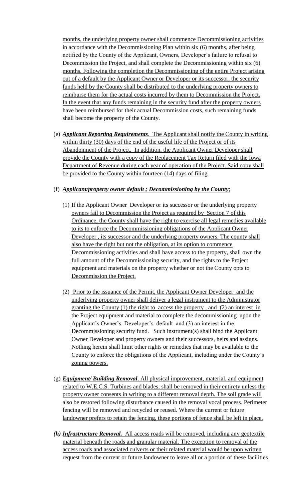months, the underlying property owner shall commence Decommissioning activities in accordance with the Decommissioning Plan within six (6) months, after being notified by the County of the Applicant, Owners, Developer's failure to refusal to Decommission the Project, and shall complete the Decommissioning within six (6) months. Following the completion the Decommissioning of the entire Project arising out of a default by the Applicant Owner or Developer or its successor, the security funds held by the County shall be distributed to the underlying property owners to reimburse them for the actual costs incurred by them to Decommission the Project. In the event that any funds remaining in the security fund after the property owners have been reimbursed for their actual Decommission costs, such remaining funds shall become the property of the County.

(e) *Applicant Reporting Requirements*. The Applicant shall notify the County in writing within thirty (30) days of the end of the useful life of the Project or of its Abandonment of the Project. In addition, the Applicant Owner Developer shall provide the County with a copy of the Replacement Tax Return filed with the Iowa Department of Revenue during each year of operation of the Project. Said copy shall be provided to the County within fourteen (14) days of filing.

## (f) *Applicant/property owner default ; Decommissioning by the County*;

- (1) If the Applicant Owner Developer or its successor or the underlying property owners fail to Decommission the Project as required by Section 7 of this Ordinance, the County shall have the right to exercise all legal remedies available to its to enforce the Decommissioning obligations of the Applicant Owner Developer , its successor and the underlying property owners. The county shall also have the right but not the obligation, at its option to commence Decommissioning activities and shall have access to the property, shall own the full amount of the Decommissioning security, and the rights to the Project equipment and materials on the property whether or not the County opts to Decommission the Project.
- (2) Prior to the issuance of the Permit, the Applicant Owner Developer and the underlying property owner shall deliver a legal instrument to the Administrator granting the County (1) the right to access the property , and (2) an interest in the Project equipment and material to complete the decommissioning upon the Applicant's Owner's Developer's default and (3) an interest in the Decommissioning security fund. Such instrument(s) shall bind the Applicant Owner Developer and property owners and their successors, heirs and assigns. Nothing herein shall limit other rights or remedies that may be available to the County to enforce the obligations of the Applicant, including under the County's zoning powers.
- (g) *Equipment/ Building Removal*. All physical improvement, material, and equipment related to W.E.C.S. Turbines and blades, shall be removed in their entirety unless the property owner consents in writing to a different removal depth. The soil grade will also be restored following disturbance caused in the removal vocal process. Perimeter fencing will be removed and recycled or reused. Where the current or future landowner prefers to retain the fencing, these portions of fence shall be left in place.
- *(h) Infrastructure Removal.* All access roads will be removed, including any geotextile material beneath the roads and granular material. The exception to removal of the access roads and associated culverts or their related material would be upon written request from the current or future landowner to leave all or a portion of these facilities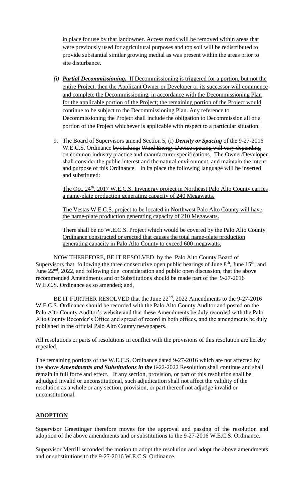in place for use by that landowner. Access roads will be removed within areas that were previously used for agricultural purposes and top soil will be redistributed to provide substantial similar growing medial as was present within the areas prior to site disturbance.

- *(i) Partial Decommissioning.* If Decommissioning is triggered for a portion, but not the entire Project, then the Applicant Owner or Developer or its successor will commence and complete the Decommissioning, in accordance with the Decommissioning Plan for the applicable portion of the Project; the remaining portion of the Project would continue to be subject to the Decommissioning Plan. Any reference to Decommissioning the Project shall include the obligation to Decommission all or a portion of the Project whichever is applicable with respect to a particular situation.
- 9. The Board of Supervisors amend Section 5, (i) *Density or Spacing* of the 9-27-2016 W.E.C.S. Ordinance by striking: Wind Energy Device spacing will vary depending on common industry practice and manufacturer specifications. The Owner/Developer shall consider the public interest and the natural environment, and maintain the intent and purpose of this Ordinance. In its place the following language will be inserted and substituted:

The Oct. 24<sup>th</sup>, 2017 W.E.C.S. Invenergy project in Northeast Palo Alto County carries a name-plate production generating capacity of 240 Megawatts.

The Vestas W.E.C.S. project to be located in Northwest Palo Alto County will have the name-plate production generating capacity of 210 Megawatts.

There shall be no W.E.C.S. Project which would be covered by the Palo Alto County Ordinance constructed or erected that causes the total name-plate production generating capacity in Palo Alto County to exceed 600 megawatts.

NOW THEREFORE, BE IT RESOLVED by the Palo Alto County Board of Supervisors that following the three consecutive open public hearings of June  $8<sup>th</sup>$ , June  $15<sup>th</sup>$ , and June 22nd, 2022, and following due consideration and public open discussion, that the above recommended Amendments and or Substitutions should be made part of the 9-27-2016 W.E.C.S. Ordinance as so amended; and,

BE IT FURTHER RESOLVED that the June 22<sup>nd</sup>, 2022 Amendments to the 9-27-2016 W.E.C.S. Ordinance should be recorded with the Palo Alto County Auditor and posted on the Palo Alto County Auditor's website and that these Amendments be duly recorded with the Palo Alto County Recorder's Office and spread of record in both offices, and the amendments be duly published in the official Palo Alto County newspapers.

All resolutions or parts of resolutions in conflict with the provisions of this resolution are hereby repealed.

The remaining portions of the W.E.C.S. Ordinance dated 9-27-2016 which are not affected by the above *Amendments and Substitutions in the* 6-22-2022 Resolution shall continue and shall remain in full force and effect. If any section, provision, or part of this resolution shall be adjudged invalid or unconstitutional, such adjudication shall not affect the validity of the resolution as a whole or any section, provision, or part thereof not adjudge invalid or unconstitutional.

## **ADOPTION**

Supervisor Graettinger therefore moves for the approval and passing of the resolution and adoption of the above amendments and or substitutions to the 9-27-2016 W.E.C.S. Ordinance.

Supervisor Merrill seconded the motion to adopt the resolution and adopt the above amendments and or substitutions to the 9-27-2016 W.E.C.S. Ordinance.